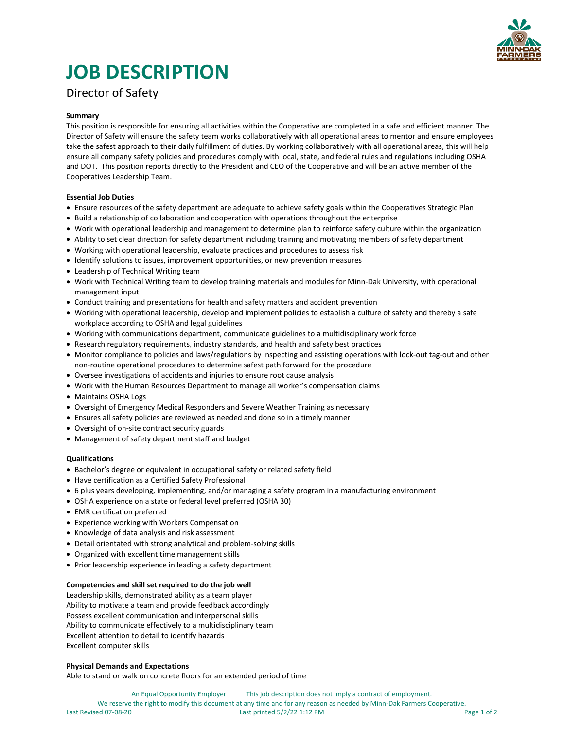

# **JOB DESCRIPTION**

## Director of Safety

#### **Summary**

This position is responsible for ensuring all activities within the Cooperative are completed in a safe and efficient manner. The Director of Safety will ensure the safety team works collaboratively with all operational areas to mentor and ensure employees take the safest approach to their daily fulfillment of duties. By working collaboratively with all operational areas, this will help ensure all company safety policies and procedures comply with local, state, and federal rules and regulations including OSHA and DOT. This position reports directly to the President and CEO of the Cooperative and will be an active member of the Cooperatives Leadership Team.

#### **Essential Job Duties**

- Ensure resources of the safety department are adequate to achieve safety goals within the Cooperatives Strategic Plan
- Build a relationship of collaboration and cooperation with operations throughout the enterprise
- Work with operational leadership and management to determine plan to reinforce safety culture within the organization
- Ability to set clear direction for safety department including training and motivating members of safety department
- Working with operational leadership, evaluate practices and procedures to assess risk
- Identify solutions to issues, improvement opportunities, or new prevention measures
- Leadership of Technical Writing team
- Work with Technical Writing team to develop training materials and modules for Minn-Dak University, with operational management input
- Conduct training and presentations for health and safety matters and accident prevention
- Working with operational leadership, develop and implement policies to establish a culture of safety and thereby a safe workplace according to OSHA and legal guidelines
- Working with communications department, communicate guidelines to a multidisciplinary work force
- Research regulatory requirements, industry standards, and health and safety best practices
- Monitor compliance to policies and laws/regulations by inspecting and assisting operations with lock-out tag-out and other non-routine operational procedures to determine safest path forward for the procedure
- Oversee investigations of accidents and injuries to ensure root cause analysis
- Work with the Human Resources Department to manage all worker's compensation claims
- Maintains OSHA Logs
- Oversight of Emergency Medical Responders and Severe Weather Training as necessary
- Ensures all safety policies are reviewed as needed and done so in a timely manner
- Oversight of on-site contract security guards
- Management of safety department staff and budget

#### **Qualifications**

- Bachelor's degree or equivalent in occupational safety or related safety field
- Have certification as a Certified Safety Professional
- 6 plus years developing, implementing, and/or managing a safety program in a manufacturing environment
- OSHA experience on a state or federal level preferred (OSHA 30)
- EMR certification preferred
- Experience working with Workers Compensation
- Knowledge of data analysis and risk assessment
- Detail orientated with strong analytical and problem-solving skills
- Organized with excellent time management skills
- Prior leadership experience in leading a safety department

#### **Competencies and skill set required to do the job well**

Leadership skills, demonstrated ability as a team player Ability to motivate a team and provide feedback accordingly Possess excellent communication and interpersonal skills Ability to communicate effectively to a multidisciplinary team Excellent attention to detail to identify hazards Excellent computer skills

#### **Physical Demands and Expectations**

Able to stand or walk on concrete floors for an extended period of time